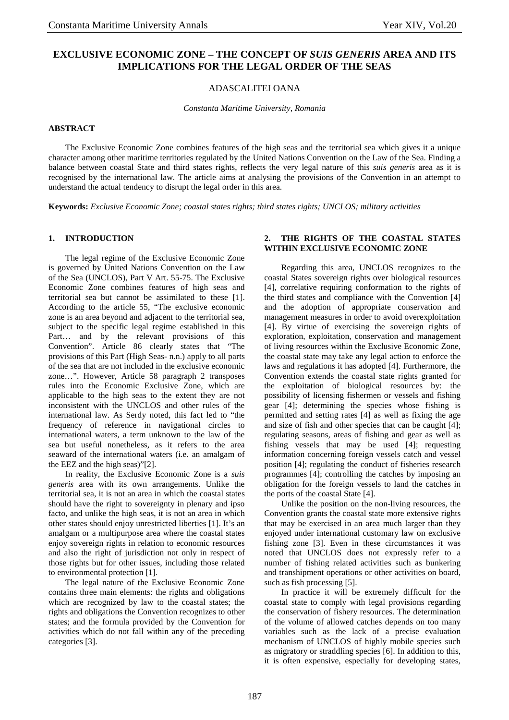# **EXCLUSIVE ECONOMIC ZONE – THE CONCEPT OF** *SUIS GENERIS* **AREA AND ITS IMPLICATIONS FOR THE LEGAL ORDER OF THE SEAS**

## ADASCALITEI OANA

*Constanta Maritime University, Romania* 

### **ABSTRACT**

The Exclusive Economic Zone combines features of the high seas and the territorial sea which gives it a unique character among other maritime territories regulated by the United Nations Convention on the Law of the Sea. Finding a balance between coastal State and third states rights, reflects the very legal nature of this *suis generis* area as it is recognised by the international law. The article aims at analysing the provisions of the Convention in an attempt to understand the actual tendency to disrupt the legal order in this area.

**Keywords:** *Exclusive Economic Zone; coastal states rights; third states rights; UNCLOS; military activities* 

#### **1. INTRODUCTION**

The legal regime of the Exclusive Economic Zone is governed by United Nations Convention on the Law of the Sea (UNCLOS), Part V Art. 55-75. The Exclusive Economic Zone combines features of high seas and territorial sea but cannot be assimilated to these [1]. According to the article 55, "The exclusive economic zone is an area beyond and adjacent to the territorial sea, subject to the specific legal regime established in this Part… and by the relevant provisions of this Convention". Article 86 clearly states that "The provisions of this Part (High Seas- n.n.) apply to all parts of the sea that are not included in the exclusive economic zone…". However, Article 58 paragraph 2 transposes rules into the Economic Exclusive Zone, which are applicable to the high seas to the extent they are not inconsistent with the UNCLOS and other rules of the international law. As Serdy noted, this fact led to "the frequency of reference in navigational circles to international waters, a term unknown to the law of the sea but useful nonetheless, as it refers to the area seaward of the international waters (i.e. an amalgam of the EEZ and the high seas)"[2].

In reality, the Exclusive Economic Zone is a *suis generis* area with its own arrangements. Unlike the territorial sea, it is not an area in which the coastal states should have the right to sovereignty in plenary and ipso facto, and unlike the high seas, it is not an area in which other states should enjoy unrestricted liberties [1]. It's an amalgam or a multipurpose area where the coastal states enjoy sovereign rights in relation to economic resources and also the right of jurisdiction not only in respect of those rights but for other issues, including those related to environmental protection [1].

The legal nature of the Exclusive Economic Zone contains three main elements: the rights and obligations which are recognized by law to the coastal states; the rights and obligations the Convention recognizes to other states; and the formula provided by the Convention for activities which do not fall within any of the preceding categories [3].

## **2. THE RIGHTS OF THE COASTAL STATES WITHIN EXCLUSIVE ECONOMIC ZONE**

Regarding this area, UNCLOS recognizes to the coastal States sovereign rights over biological resources [4], correlative requiring conformation to the rights of the third states and compliance with the Convention [4] and the adoption of appropriate conservation and management measures in order to avoid overexploitation [4]. By virtue of exercising the sovereign rights of exploration, exploitation, conservation and management of living resources within the Exclusive Economic Zone, the coastal state may take any legal action to enforce the laws and regulations it has adopted [4]. Furthermore, the Convention extends the coastal state rights granted for the exploitation of biological resources by: the possibility of licensing fishermen or vessels and fishing gear [4]; determining the species whose fishing is permitted and setting rates [4] as well as fixing the age and size of fish and other species that can be caught [4]; regulating seasons, areas of fishing and gear as well as fishing vessels that may be used [4]; requesting information concerning foreign vessels catch and vessel position [4]; regulating the conduct of fisheries research programmes [4]; controlling the catches by imposing an obligation for the foreign vessels to land the catches in the ports of the coastal State [4].

Unlike the position on the non-living resources, the Convention grants the coastal state more extensive rights that may be exercised in an area much larger than they enjoyed under international customary law on exclusive fishing zone [3]. Even in these circumstances it was noted that UNCLOS does not expressly refer to a number of fishing related activities such as bunkering and transhipment operations or other activities on board, such as fish processing [5].

In practice it will be extremely difficult for the coastal state to comply with legal provisions regarding the conservation of fishery resources. The determination of the volume of allowed catches depends on too many variables such as the lack of a precise evaluation mechanism of UNCLOS of highly mobile species such as migratory or straddling species [6]. In addition to this, it is often expensive, especially for developing states,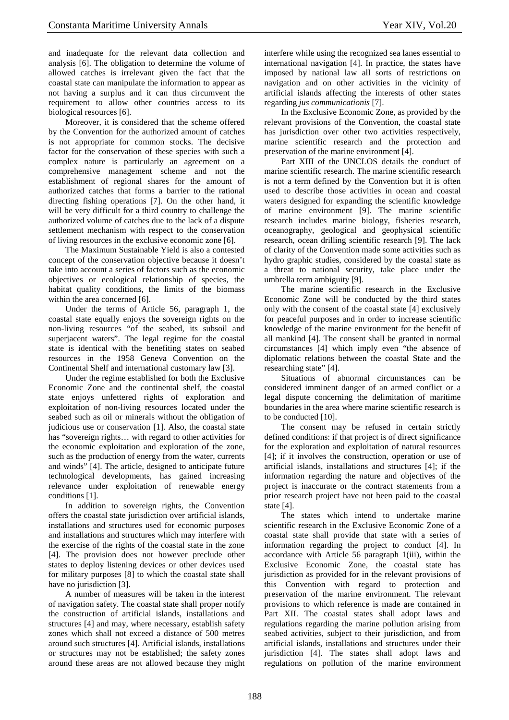and inadequate for the relevant data collection and analysis [6]. The obligation to determine the volume of allowed catches is irrelevant given the fact that the coastal state can manipulate the information to appear as not having a surplus and it can thus circumvent the requirement to allow other countries access to its biological resources [6].

Moreover, it is considered that the scheme offered by the Convention for the authorized amount of catches is not appropriate for common stocks. The decisive factor for the conservation of these species with such a complex nature is particularly an agreement on a comprehensive management scheme and not the establishment of regional shares for the amount of authorized catches that forms a barrier to the rational directing fishing operations [7]. On the other hand, it will be very difficult for a third country to challenge the authorized volume of catches due to the lack of a dispute settlement mechanism with respect to the conservation of living resources in the exclusive economic zone [6].

The Maximum Sustainable Yield is also a contested concept of the conservation objective because it doesn't take into account a series of factors such as the economic objectives or ecological relationship of species, the habitat quality conditions, the limits of the biomass within the area concerned [6].

Under the terms of Article 56, paragraph 1, the coastal state equally enjoys the sovereign rights on the non-living resources "of the seabed, its subsoil and superjacent waters". The legal regime for the coastal state is identical with the benefiting states on seabed resources in the 1958 Geneva Convention on the Continental Shelf and international customary law [3].

Under the regime established for both the Exclusive Economic Zone and the continental shelf, the coastal state enjoys unfettered rights of exploration and exploitation of non-living resources located under the seabed such as oil or minerals without the obligation of judicious use or conservation [1]. Also, the coastal state has "sovereign rights… with regard to other activities for the economic exploitation and exploration of the zone, such as the production of energy from the water, currents and winds" [4]. The article, designed to anticipate future technological developments, has gained increasing relevance under exploitation of renewable energy conditions [1].

In addition to sovereign rights, the Convention offers the coastal state jurisdiction over artificial islands, installations and structures used for economic purposes and installations and structures which may interfere with the exercise of the rights of the coastal state in the zone [4]. The provision does not however preclude other states to deploy listening devices or other devices used for military purposes [8] to which the coastal state shall have no jurisdiction [3].

A number of measures will be taken in the interest of navigation safety. The coastal state shall proper notify the construction of artificial islands, installations and structures [4] and may, where necessary, establish safety zones which shall not exceed a distance of 500 metres around such structures [4]. Artificial islands, installations or structures may not be established; the safety zones around these areas are not allowed because they might interfere while using the recognized sea lanes essential to international navigation [4]. In practice, the states have imposed by national law all sorts of restrictions on navigation and on other activities in the vicinity of artificial islands affecting the interests of other states regarding *jus communicationis* [7].

In the Exclusive Economic Zone, as provided by the relevant provisions of the Convention, the coastal state has jurisdiction over other two activities respectively. marine scientific research and the protection and preservation of the marine environment [4].

Part XIII of the UNCLOS details the conduct of marine scientific research. The marine scientific research is not a term defined by the Convention but it is often used to describe those activities in ocean and coastal waters designed for expanding the scientific knowledge of marine environment [9]. The marine scientific research includes marine biology, fisheries research, oceanography, geological and geophysical scientific research, ocean drilling scientific research [9]. The lack of clarity of the Convention made some activities such as hydro graphic studies, considered by the coastal state as a threat to national security, take place under the umbrella term ambiguity [9].

The marine scientific research in the Exclusive Economic Zone will be conducted by the third states only with the consent of the coastal state [4] exclusively for peaceful purposes and in order to increase scientific knowledge of the marine environment for the benefit of all mankind [4]. The consent shall be granted in normal circumstances [4] which imply even "the absence of diplomatic relations between the coastal State and the researching state" [4].

Situations of abnormal circumstances can be considered imminent danger of an armed conflict or a legal dispute concerning the delimitation of maritime boundaries in the area where marine scientific research is to be conducted [10].

The consent may be refused in certain strictly defined conditions: if that project is of direct significance for the exploration and exploitation of natural resources [4]; if it involves the construction, operation or use of artificial islands, installations and structures [4]; if the information regarding the nature and objectives of the project is inaccurate or the contract statements from a prior research project have not been paid to the coastal state [4].

The states which intend to undertake marine scientific research in the Exclusive Economic Zone of a coastal state shall provide that state with a series of information regarding the project to conduct [4]. In accordance with Article 56 paragraph 1(iii), within the Exclusive Economic Zone, the coastal state has jurisdiction as provided for in the relevant provisions of this Convention with regard to protection and preservation of the marine environment. The relevant provisions to which reference is made are contained in Part XII. The coastal states shall adopt laws and regulations regarding the marine pollution arising from seabed activities, subject to their jurisdiction, and from artificial islands, installations and structures under their jurisdiction [4]. The states shall adopt laws and regulations on pollution of the marine environment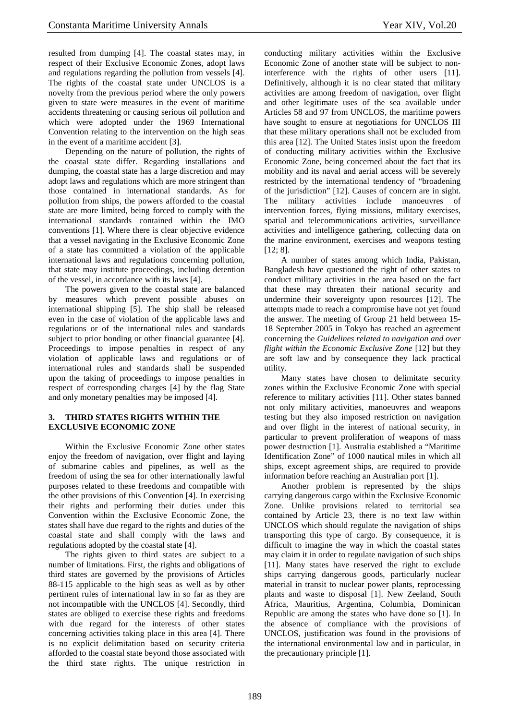resulted from dumping [4]. The coastal states may, in respect of their Exclusive Economic Zones, adopt laws and regulations regarding the pollution from vessels [4]. The rights of the coastal state under UNCLOS is a novelty from the previous period where the only powers given to state were measures in the event of maritime accidents threatening or causing serious oil pollution and which were adopted under the 1969 International Convention relating to the intervention on the high seas in the event of a maritime accident [3].

Depending on the nature of pollution, the rights of the coastal state differ. Regarding installations and dumping, the coastal state has a large discretion and may adopt laws and regulations which are more stringent than those contained in international standards. As for pollution from ships, the powers afforded to the coastal state are more limited, being forced to comply with the international standards contained within the IMO conventions [1]. Where there is clear objective evidence that a vessel navigating in the Exclusive Economic Zone of a state has committed a violation of the applicable international laws and regulations concerning pollution, that state may institute proceedings, including detention of the vessel, in accordance with its laws [4].

The powers given to the coastal state are balanced by measures which prevent possible abuses on international shipping [5]. The ship shall be released even in the case of violation of the applicable laws and regulations or of the international rules and standards subject to prior bonding or other financial guarantee [4]. Proceedings to impose penalties in respect of any violation of applicable laws and regulations or of international rules and standards shall be suspended upon the taking of proceedings to impose penalties in respect of corresponding charges [4] by the flag State and only monetary penalties may be imposed [4].

# **3. THIRD STATES RIGHTS WITHIN THE EXCLUSIVE ECONOMIC ZONE**

Within the Exclusive Economic Zone other states enjoy the freedom of navigation, over flight and laying of submarine cables and pipelines, as well as the freedom of using the sea for other internationally lawful purposes related to these freedoms and compatible with the other provisions of this Convention [4]. In exercising their rights and performing their duties under this Convention within the Exclusive Economic Zone, the states shall have due regard to the rights and duties of the coastal state and shall comply with the laws and regulations adopted by the coastal state [4].

The rights given to third states are subject to a number of limitations. First, the rights and obligations of third states are governed by the provisions of Articles 88-115 applicable to the high seas as well as by other pertinent rules of international law in so far as they are not incompatible with the UNCLOS [4]. Secondly, third states are obliged to exercise these rights and freedoms with due regard for the interests of other states concerning activities taking place in this area [4]. There is no explicit delimitation based on security criteria afforded to the coastal state beyond those associated with the third state rights. The unique restriction in conducting military activities within the Exclusive Economic Zone of another state will be subject to noninterference with the rights of other users [11]. Definitively, although it is no clear stated that military activities are among freedom of navigation, over flight and other legitimate uses of the sea available under Articles 58 and 97 from UNCLOS, the maritime powers have sought to ensure at negotiations for UNCLOS III that these military operations shall not be excluded from this area [12]. The United States insist upon the freedom of conducting military activities within the Exclusive Economic Zone, being concerned about the fact that its mobility and its naval and aerial access will be severely restricted by the international tendency of "broadening of the jurisdiction" [12]. Causes of concern are in sight. The military activities include manoeuvres of intervention forces, flying missions, military exercises, spatial and telecommunications activities, surveillance activities and intelligence gathering, collecting data on the marine environment, exercises and weapons testing [12: 8].

A number of states among which India, Pakistan, Bangladesh have questioned the right of other states to conduct military activities in the area based on the fact that these may threaten their national security and undermine their sovereignty upon resources [12]. The attempts made to reach a compromise have not yet found the answer. The meeting of Group 21 held between 15- 18 September 2005 in Tokyo has reached an agreement concerning the *Guidelines related to navigation and over flight within the Economic Exclusive Zone* [12] but they are soft law and by consequence they lack practical utility.

Many states have chosen to delimitate security zones within the Exclusive Economic Zone with special reference to military activities [11]. Other states banned not only military activities, manoeuvres and weapons testing but they also imposed restriction on navigation and over flight in the interest of national security, in particular to prevent proliferation of weapons of mass power destruction [1]. Australia established a "Maritime Identification Zone" of 1000 nautical miles in which all ships, except agreement ships, are required to provide information before reaching an Australian port [1].

Another problem is represented by the ships carrying dangerous cargo within the Exclusive Economic Zone. Unlike provisions related to territorial sea contained by Article 23, there is no text law within UNCLOS which should regulate the navigation of ships transporting this type of cargo. By consequence, it is difficult to imagine the way in which the coastal states may claim it in order to regulate navigation of such ships [11]. Many states have reserved the right to exclude ships carrying dangerous goods, particularly nuclear material in transit to nuclear power plants, reprocessing plants and waste to disposal [1]. New Zeeland, South Africa, Mauritius, Argentina, Columbia, Dominican Republic are among the states who have done so [1]. In the absence of compliance with the provisions of UNCLOS, justification was found in the provisions of the international environmental law and in particular, in the precautionary principle [1].